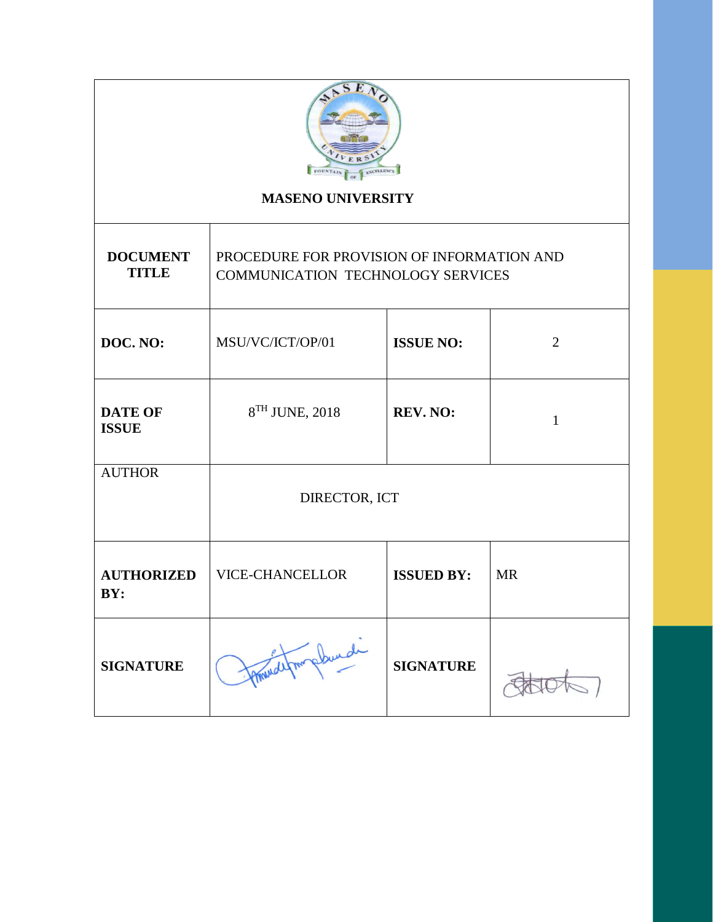

# **MASENO UNIVERSITY**

| <b>DOCUMENT</b><br><b>TITLE</b> | PROCEDURE FOR PROVISION OF INFORMATION AND<br><b>COMMUNICATION TECHNOLOGY SERVICES</b> |                   |           |  |
|---------------------------------|----------------------------------------------------------------------------------------|-------------------|-----------|--|
| DOC. NO:                        | MSU/VC/ICT/OP/01                                                                       | <b>ISSUE NO:</b>  | 2         |  |
| <b>DATE OF</b><br><b>ISSUE</b>  | 8 <sup>TH</sup> JUNE, 2018                                                             | <b>REV. NO:</b>   | 1         |  |
| <b>AUTHOR</b>                   | DIRECTOR, ICT                                                                          |                   |           |  |
| <b>AUTHORIZED</b><br>BY:        | <b>VICE-CHANCELLOR</b>                                                                 | <b>ISSUED BY:</b> | <b>MR</b> |  |
| <b>SIGNATURE</b>                |                                                                                        | <b>SIGNATURE</b>  |           |  |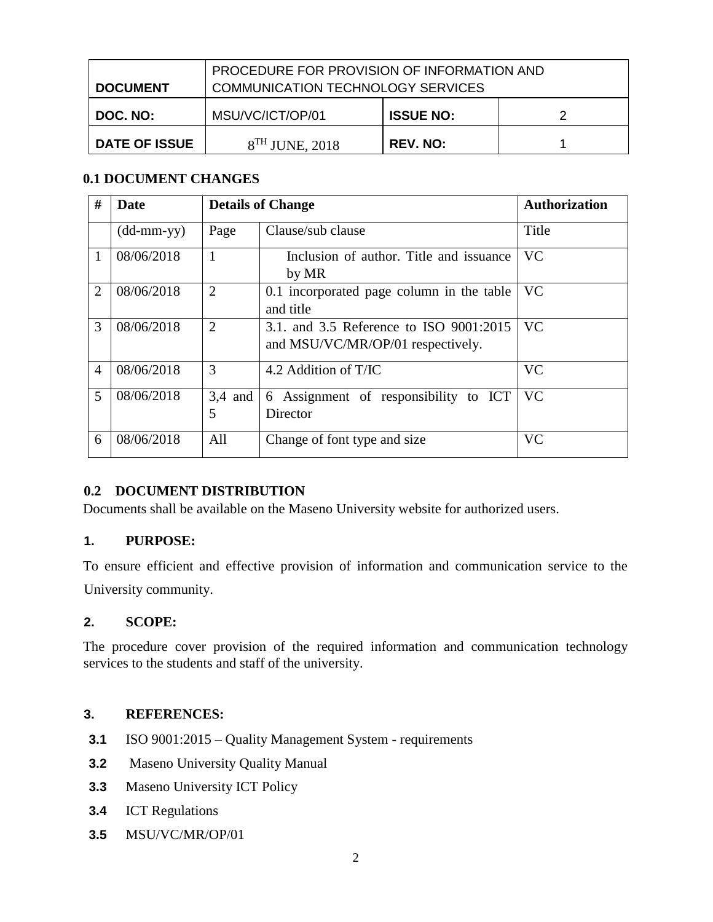| <b>DOCUMENT</b>      | PROCEDURE FOR PROVISION OF INFORMATION AND<br><b>COMMUNICATION TECHNOLOGY SERVICES</b> |                  |  |
|----------------------|----------------------------------------------------------------------------------------|------------------|--|
| DOC. NO:             | MSU/VC/ICT/OP/01                                                                       | <b>ISSUE NO:</b> |  |
| <b>DATE OF ISSUE</b> | $8TH$ JUNE, 2018                                                                       | <b>REV. NO:</b>  |  |

## **0.1 DOCUMENT CHANGES**

| #              | Date                       | <b>Details of Change</b> |                                                                              | <b>Authorization</b> |
|----------------|----------------------------|--------------------------|------------------------------------------------------------------------------|----------------------|
|                | $(dd\text{-}mm\text{-}yy)$ | Page                     | Clause/sub clause                                                            | Title                |
| 1              | 08/06/2018                 | 1                        | Inclusion of author. Title and issuance<br>by MR                             | <b>VC</b>            |
| 2              | 08/06/2018                 | $\overline{2}$           | 0.1 incorporated page column in the table<br>and title                       | <b>VC</b>            |
| 3              | 08/06/2018                 | $\overline{2}$           | 3.1. and 3.5 Reference to ISO 9001:2015<br>and MSU/VC/MR/OP/01 respectively. | <b>VC</b>            |
| $\overline{4}$ | 08/06/2018                 | 3                        | 4.2 Addition of T/IC                                                         | <b>VC</b>            |
| 5              | 08/06/2018                 | $3,4$ and<br>5           | 6 Assignment of responsibility to ICT<br>Director                            | <b>VC</b>            |
| 6              | 08/06/2018                 | All                      | Change of font type and size                                                 | <b>VC</b>            |

## **0.2 DOCUMENT DISTRIBUTION**

Documents shall be available on the Maseno University website for authorized users.

## **1. PURPOSE:**

To ensure efficient and effective provision of information and communication service to the University community.

## **2. SCOPE:**

The procedure cover provision of the required information and communication technology services to the students and staff of the university.

## **3. REFERENCES:**

- **3.1** ISO 9001:2015 Quality Management System requirements
- **3.2** Maseno University Quality Manual
- **3.3** Maseno University ICT Policy
- **3.4** ICT Regulations
- **3.5** MSU/VC/MR/OP/01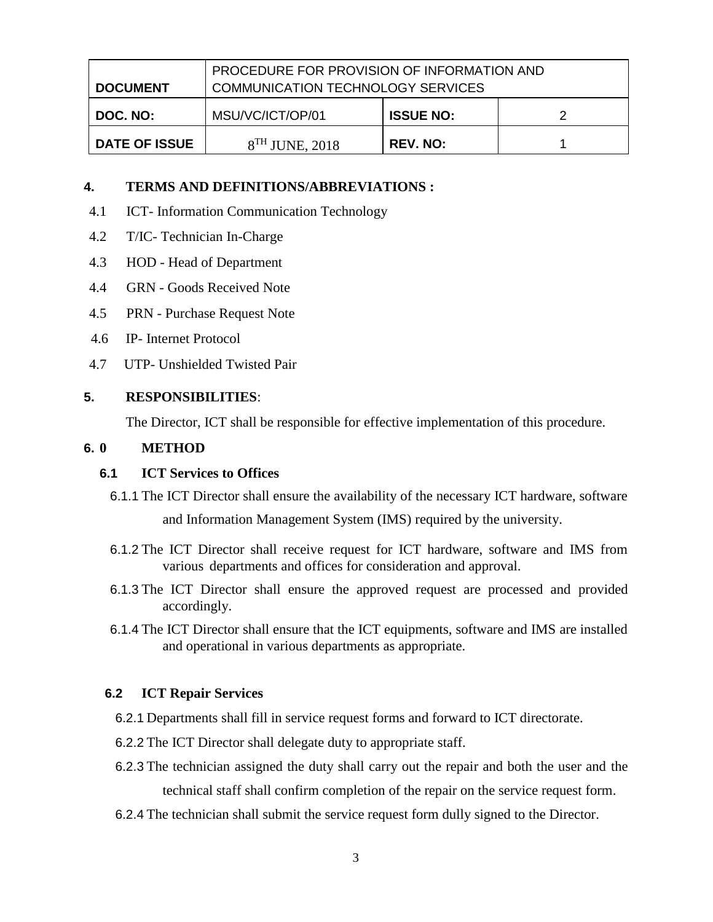| <b>DOCUMENT</b>      | PROCEDURE FOR PROVISION OF INFORMATION AND<br><b>COMMUNICATION TECHNOLOGY SERVICES</b> |                  |  |
|----------------------|----------------------------------------------------------------------------------------|------------------|--|
| DOC. NO:             | MSU/VC/ICT/OP/01                                                                       | <b>ISSUE NO:</b> |  |
| <b>DATE OF ISSUE</b> | $8TH$ JUNE, 2018                                                                       | <b>REV. NO:</b>  |  |

#### **4. TERMS AND DEFINITIONS/ABBREVIATIONS :**

- 4.1 ICT- Information Communication Technology
- 4.2 T/IC- Technician In-Charge
- 4.3 HOD Head of Department
- 4.4 GRN Goods Received Note
- 4.5 PRN Purchase Request Note
- 4.6 IP- Internet Protocol
- 4.7 UTP- Unshielded Twisted Pair

#### **5. RESPONSIBILITIES**:

The Director, ICT shall be responsible for effective implementation of this procedure.

### **6. 0 METHOD**

#### **6.1 ICT Services to Offices**

- 6.1.1 The ICT Director shall ensure the availability of the necessary ICT hardware, software and Information Management System (IMS) required by the university.
- 6.1.2 The ICT Director shall receive request for ICT hardware, software and IMS from various departments and offices for consideration and approval.
- 6.1.3 The ICT Director shall ensure the approved request are processed and provided accordingly.
- 6.1.4 The ICT Director shall ensure that the ICT equipments, software and IMS are installed and operational in various departments as appropriate.

## **6.2 ICT Repair Services**

- 6.2.1 Departments shall fill in service request forms and forward to ICT directorate.
- 6.2.2 The ICT Director shall delegate duty to appropriate staff.
- 6.2.3 The technician assigned the duty shall carry out the repair and both the user and the technical staff shall confirm completion of the repair on the service request form.
- 6.2.4 The technician shall submit the service request form dully signed to the Director.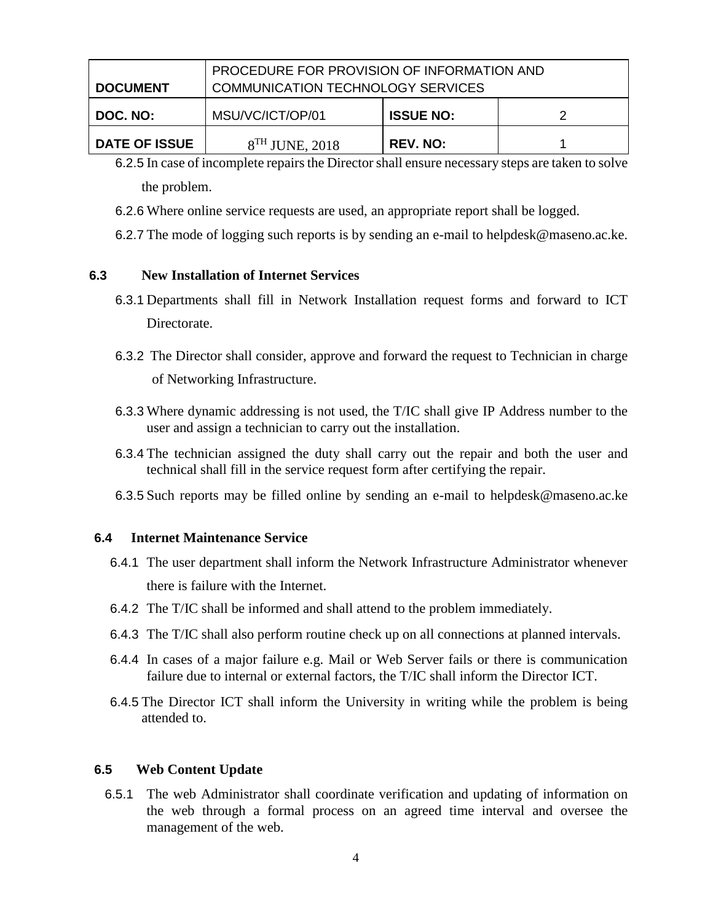| <b>DOCUMENT</b>      | PROCEDURE FOR PROVISION OF INFORMATION AND<br><b>COMMUNICATION TECHNOLOGY SERVICES</b> |                  |  |
|----------------------|----------------------------------------------------------------------------------------|------------------|--|
| DOC. NO:             | MSU/VC/ICT/OP/01                                                                       | <b>ISSUE NO:</b> |  |
| <b>DATE OF ISSUE</b> | $8TH$ JUNE, 2018                                                                       | <b>REV. NO:</b>  |  |

- 6.2.5 In case of incomplete repairs the Director shall ensure necessary steps are taken to solve the problem.
- 6.2.6 Where online service requests are used, an appropriate report shall be logged.
- 6.2.7 The mode of logging such reports is by sending an e-mail to helpdesk@maseno.ac.ke.

### **6.3 New Installation of Internet Services**

- 6.3.1 Departments shall fill in Network Installation request forms and forward to ICT Directorate.
- 6.3.2 The Director shall consider, approve and forward the request to Technician in charge of Networking Infrastructure.
- 6.3.3 Where dynamic addressing is not used, the T/IC shall give IP Address number to the user and assign a technician to carry out the installation.
- 6.3.4 The technician assigned the duty shall carry out the repair and both the user and technical shall fill in the service request form after certifying the repair.
- 6.3.5 Such reports may be filled online by sending an e-mail to helpdesk@maseno.ac.ke

#### **6.4 Internet Maintenance Service**

- 6.4.1 The user department shall inform the Network Infrastructure Administrator whenever there is failure with the Internet.
- 6.4.2 The T/IC shall be informed and shall attend to the problem immediately.
- 6.4.3 The T/IC shall also perform routine check up on all connections at planned intervals.
- 6.4.4 In cases of a major failure e.g. Mail or Web Server fails or there is communication failure due to internal or external factors, the T/IC shall inform the Director ICT.
- 6.4.5 The Director ICT shall inform the University in writing while the problem is being attended to.

#### **6.5 Web Content Update**

6.5.1 The web Administrator shall coordinate verification and updating of information on the web through a formal process on an agreed time interval and oversee the management of the web.